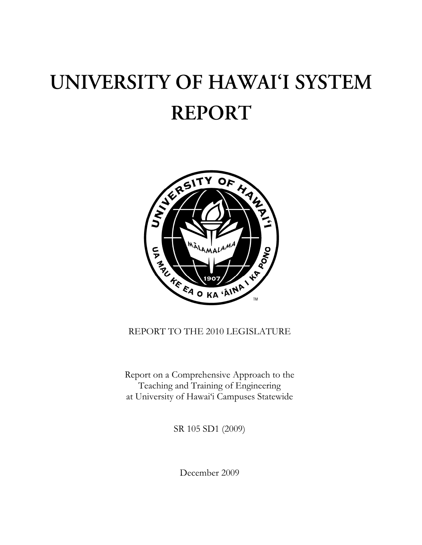# UNIVERSITY OF HAWAI'I SYSTEM **REPORT**



# REPORT TO THE 2010 LEGISLATURE

Report on a Comprehensive Approach to the Teaching and Training of Engineering at University of Hawai'i Campuses Statewide

SR 105 SD1 (2009)

December 2009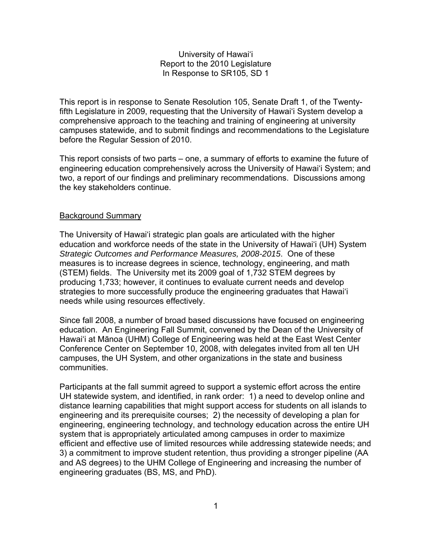## University of Hawai'i Report to the 2010 Legislature In Response to SR105, SD 1

This report is in response to Senate Resolution 105, Senate Draft 1, of the Twentyfifth Legislature in 2009, requesting that the University of Hawai'i System develop a comprehensive approach to the teaching and training of engineering at university campuses statewide, and to submit findings and recommendations to the Legislature before the Regular Session of 2010.

This report consists of two parts – one, a summary of efforts to examine the future of engineering education comprehensively across the University of Hawai'i System; and two, a report of our findings and preliminary recommendations. Discussions among the key stakeholders continue.

#### Background Summary

The University of Hawai'i strategic plan goals are articulated with the higher education and workforce needs of the state in the University of Hawai'i (UH) System *Strategic Outcomes and Performance Measures, 2008-2015*. One of these measures is to increase degrees in science, technology, engineering, and math (STEM) fields. The University met its 2009 goal of 1,732 STEM degrees by producing 1,733; however, it continues to evaluate current needs and develop strategies to more successfully produce the engineering graduates that Hawai'i needs while using resources effectively.

Since fall 2008, a number of broad based discussions have focused on engineering education. An Engineering Fall Summit, convened by the Dean of the University of Hawai'i at Mānoa (UHM) College of Engineering was held at the East West Center Conference Center on September 10, 2008, with delegates invited from all ten UH campuses, the UH System, and other organizations in the state and business communities.

Participants at the fall summit agreed to support a systemic effort across the entire UH statewide system, and identified, in rank order: 1) a need to develop online and distance learning capabilities that might support access for students on all islands to engineering and its prerequisite courses; 2) the necessity of developing a plan for engineering, engineering technology, and technology education across the entire UH system that is appropriately articulated among campuses in order to maximize efficient and effective use of limited resources while addressing statewide needs; and 3) a commitment to improve student retention, thus providing a stronger pipeline (AA and AS degrees) to the UHM College of Engineering and increasing the number of engineering graduates (BS, MS, and PhD).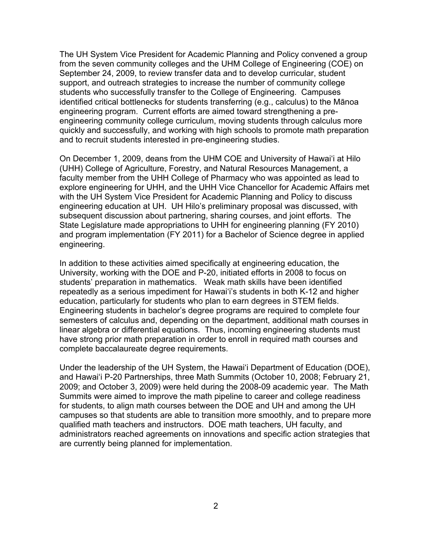The UH System Vice President for Academic Planning and Policy convened a group from the seven community colleges and the UHM College of Engineering (COE) on September 24, 2009, to review transfer data and to develop curricular, student support, and outreach strategies to increase the number of community college students who successfully transfer to the College of Engineering. Campuses identified critical bottlenecks for students transferring (e.g., calculus) to the Mānoa engineering program. Current efforts are aimed toward strengthening a preengineering community college curriculum, moving students through calculus more quickly and successfully, and working with high schools to promote math preparation and to recruit students interested in pre-engineering studies.

On December 1, 2009, deans from the UHM COE and University of Hawai'i at Hilo (UHH) College of Agriculture, Forestry, and Natural Resources Management, a faculty member from the UHH College of Pharmacy who was appointed as lead to explore engineering for UHH, and the UHH Vice Chancellor for Academic Affairs met with the UH System Vice President for Academic Planning and Policy to discuss engineering education at UH. UH Hilo's preliminary proposal was discussed, with subsequent discussion about partnering, sharing courses, and joint efforts. The State Legislature made appropriations to UHH for engineering planning (FY 2010) and program implementation (FY 2011) for a Bachelor of Science degree in applied engineering.

In addition to these activities aimed specifically at engineering education, the University, working with the DOE and P-20, initiated efforts in 2008 to focus on students' preparation in mathematics. Weak math skills have been identified repeatedly as a serious impediment for Hawai'i's students in both K-12 and higher education, particularly for students who plan to earn degrees in STEM fields. Engineering students in bachelor's degree programs are required to complete four semesters of calculus and, depending on the department, additional math courses in linear algebra or differential equations. Thus, incoming engineering students must have strong prior math preparation in order to enroll in required math courses and complete baccalaureate degree requirements.

Under the leadership of the UH System, the Hawai'i Department of Education (DOE), and Hawai'i P-20 Partnerships, three Math Summits (October 10, 2008; February 21, 2009; and October 3, 2009) were held during the 2008-09 academic year. The Math Summits were aimed to improve the math pipeline to career and college readiness for students, to align math courses between the DOE and UH and among the UH campuses so that students are able to transition more smoothly, and to prepare more qualified math teachers and instructors. DOE math teachers, UH faculty, and administrators reached agreements on innovations and specific action strategies that are currently being planned for implementation.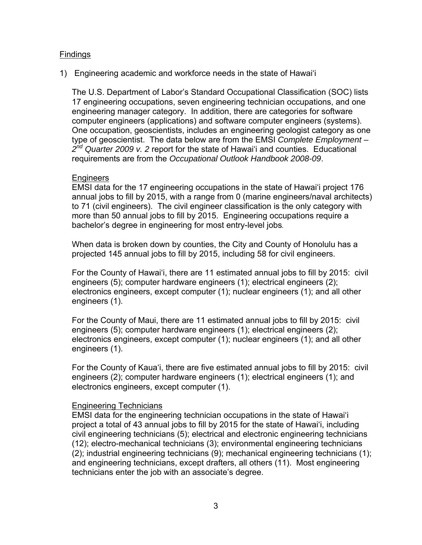#### **Findings**

1) Engineering academic and workforce needs in the state of Hawai'i

The U.S. Department of Labor's Standard Occupational Classification (SOC) lists 17 engineering occupations, seven engineering technician occupations, and one engineering manager category. In addition, there are categories for software computer engineers (applications) and software computer engineers (systems). One occupation, geoscientists, includes an engineering geologist category as one type of geoscientist. The data below are from the EMSI *Complete Employment – 2nd Quarter 2009 v. 2* report for the state of Hawai'i and counties. Educational requirements are from the *Occupational Outlook Handbook 2008-09*.

#### **Engineers**

EMSI data for the 17 engineering occupations in the state of Hawai'i project 176 annual jobs to fill by 2015, with a range from 0 (marine engineers/naval architects) to 71 (civil engineers). The civil engineer classification is the only category with more than 50 annual jobs to fill by 2015. Engineering occupations require a bachelor's degree in engineering for most entry-level jobs*.* 

When data is broken down by counties, the City and County of Honolulu has a projected 145 annual jobs to fill by 2015, including 58 for civil engineers.

For the County of Hawai'i, there are 11 estimated annual jobs to fill by 2015: civil engineers (5); computer hardware engineers (1); electrical engineers (2); electronics engineers, except computer (1); nuclear engineers (1); and all other engineers (1).

For the County of Maui, there are 11 estimated annual jobs to fill by 2015: civil engineers (5); computer hardware engineers (1); electrical engineers (2); electronics engineers, except computer (1); nuclear engineers (1); and all other engineers (1).

For the County of Kaua'i, there are five estimated annual jobs to fill by 2015: civil engineers (2); computer hardware engineers (1); electrical engineers (1); and electronics engineers, except computer (1).

#### Engineering Technicians

EMSI data for the engineering technician occupations in the state of Hawai'i project a total of 43 annual jobs to fill by 2015 for the state of Hawai'i, including civil engineering technicians (5); electrical and electronic engineering technicians (12); electro-mechanical technicians (3); environmental engineering technicians (2); industrial engineering technicians (9); mechanical engineering technicians (1); and engineering technicians, except drafters, all others (11). Most engineering technicians enter the job with an associate's degree.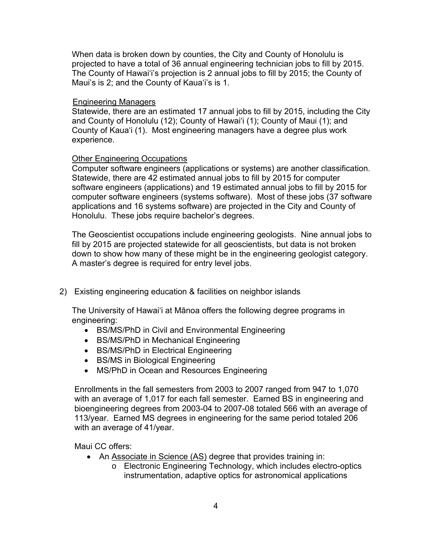When data is broken down by counties, the City and County of Honolulu is projected to have a total of 36 annual engineering technician jobs to fill by 2015. The County of Hawai'i's projection is 2 annual jobs to fill by 2015; the County of Maui's is 2; and the County of Kaua'i's is 1.

## Engineering Managers

Statewide, there are an estimated 17 annual jobs to fill by 2015, including the City and County of Honolulu (12); County of Hawai'i (1); County of Maui (1); and County of Kaua'i (1). Most engineering managers have a degree plus work experience.

## Other Engineering Occupations

Computer software engineers (applications or systems) are another classification. Statewide, there are 42 estimated annual jobs to fill by 2015 for computer software engineers (applications) and 19 estimated annual jobs to fill by 2015 for computer software engineers (systems software). Most of these jobs (37 software applications and 16 systems software) are projected in the City and County of Honolulu. These jobs require bachelor's degrees.

The Geoscientist occupations include engineering geologists. Nine annual jobs to fill by 2015 are projected statewide for all geoscientists, but data is not broken down to show how many of these might be in the engineering geologist category. A master's degree is required for entry level jobs.

2) Existing engineering education & facilities on neighbor islands

The University of Hawai'i at Mānoa offers the following degree programs in engineering:

- BS/MS/PhD in Civil and Environmental Engineering
- BS/MS/PhD in Mechanical Engineering
- BS/MS/PhD in Electrical Engineering
- BS/MS in Biological Engineering
- MS/PhD in Ocean and Resources Engineering

Enrollments in the fall semesters from 2003 to 2007 ranged from 947 to 1,070 with an average of 1,017 for each fall semester. Earned BS in engineering and bioengineering degrees from 2003-04 to 2007-08 totaled 566 with an average of 113/year. Earned MS degrees in engineering for the same period totaled 206 with an average of 41/year.

Maui CC offers:

- An [Associate in Science \(AS\)](http://www.maui.hawaii.edu/ecet/site/?page_id=7) degree that provides training in:
	- o Electronic Engineering Technology, which includes electro-optics instrumentation, adaptive optics for astronomical applications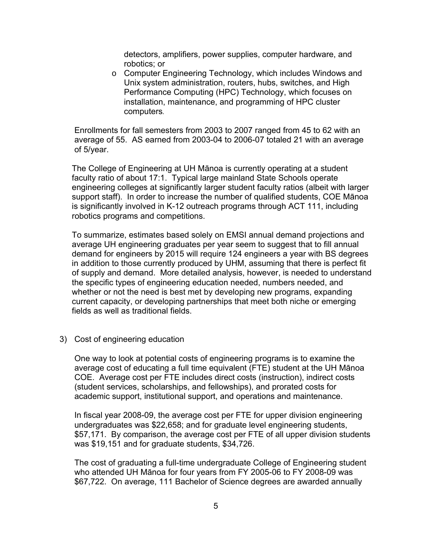detectors, amplifiers, power supplies, computer hardware, and robotics; or

o Computer Engineering Technology, which includes Windows and Unix system administration, routers, hubs, switches, and High Performance Computing (HPC) Technology, which focuses on installation, maintenance, and programming of HPC cluster computers*.*

Enrollments for fall semesters from 2003 to 2007 ranged from 45 to 62 with an average of 55. AS earned from 2003-04 to 2006-07 totaled 21 with an average of 5/year.

The College of Engineering at UH Mānoa is currently operating at a student faculty ratio of about 17:1. Typical large mainland State Schools operate engineering colleges at significantly larger student faculty ratios (albeit with larger support staff). In order to increase the number of qualified students, COE Mānoa is significantly involved in K-12 outreach programs through ACT 111, including robotics programs and competitions.

To summarize, estimates based solely on EMSI annual demand projections and average UH engineering graduates per year seem to suggest that to fill annual demand for engineers by 2015 will require 124 engineers a year with BS degrees in addition to those currently produced by UHM, assuming that there is perfect fit of supply and demand. More detailed analysis, however, is needed to understand the specific types of engineering education needed, numbers needed, and whether or not the need is best met by developing new programs, expanding current capacity, or developing partnerships that meet both niche or emerging fields as well as traditional fields.

3) Cost of engineering education

One way to look at potential costs of engineering programs is to examine the average cost of educating a full time equivalent (FTE) student at the UH Mānoa COE. Average cost per FTE includes direct costs (instruction), indirect costs (student services, scholarships, and fellowships), and prorated costs for academic support, institutional support, and operations and maintenance.

In fiscal year 2008-09, the average cost per FTE for upper division engineering undergraduates was \$22,658; and for graduate level engineering students, \$57,171. By comparison, the average cost per FTE of all upper division students was \$19,151 and for graduate students, \$34,726.

The cost of graduating a full-time undergraduate College of Engineering student who attended UH Mānoa for four years from FY 2005-06 to FY 2008-09 was \$67,722. On average, 111 Bachelor of Science degrees are awarded annually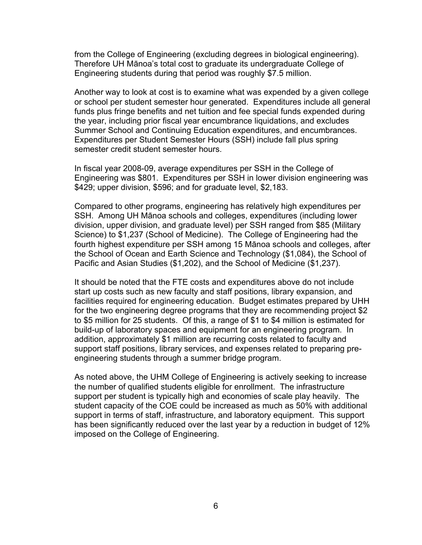from the College of Engineering (excluding degrees in biological engineering). Therefore UH Mānoa's total cost to graduate its undergraduate College of Engineering students during that period was roughly \$7.5 million.

Another way to look at cost is to examine what was expended by a given college or school per student semester hour generated. Expenditures include all general funds plus fringe benefits and net tuition and fee special funds expended during the year, including prior fiscal year encumbrance liquidations, and excludes Summer School and Continuing Education expenditures, and encumbrances. Expenditures per Student Semester Hours (SSH) include fall plus spring semester credit student semester hours.

In fiscal year 2008-09, average expenditures per SSH in the College of Engineering was \$801. Expenditures per SSH in lower division engineering was \$429; upper division, \$596; and for graduate level, \$2,183.

Compared to other programs, engineering has relatively high expenditures per SSH. Among UH Mānoa schools and colleges, expenditures (including lower division, upper division, and graduate level) per SSH ranged from \$85 (Military Science) to \$1,237 (School of Medicine). The College of Engineering had the fourth highest expenditure per SSH among 15 Mānoa schools and colleges, after the School of Ocean and Earth Science and Technology (\$1,084), the School of Pacific and Asian Studies (\$1,202), and the School of Medicine (\$1,237).

It should be noted that the FTE costs and expenditures above do not include start up costs such as new faculty and staff positions, library expansion, and facilities required for engineering education. Budget estimates prepared by UHH for the two engineering degree programs that they are recommending project \$2 to \$5 million for 25 students. Of this, a range of \$1 to \$4 million is estimated for build-up of laboratory spaces and equipment for an engineering program. In addition, approximately \$1 million are recurring costs related to faculty and support staff positions, library services, and expenses related to preparing preengineering students through a summer bridge program.

As noted above, the UHM College of Engineering is actively seeking to increase the number of qualified students eligible for enrollment. The infrastructure support per student is typically high and economies of scale play heavily. The student capacity of the COE could be increased as much as 50% with additional support in terms of staff, infrastructure, and laboratory equipment. This support has been significantly reduced over the last year by a reduction in budget of 12% imposed on the College of Engineering.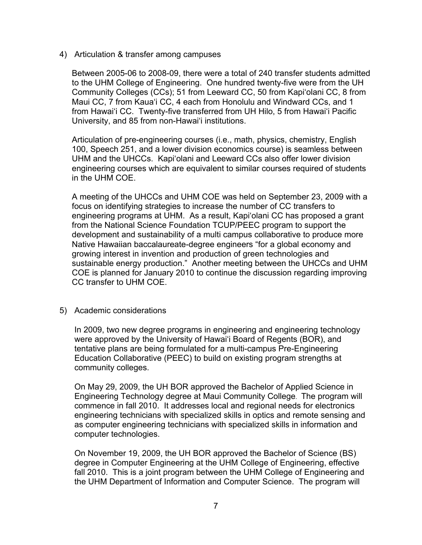4) Articulation & transfer among campuses

Between 2005-06 to 2008-09, there were a total of 240 transfer students admitted to the UHM College of Engineering. One hundred twenty-five were from the UH Community Colleges (CCs); 51 from Leeward CC, 50 from Kapi'olani CC, 8 from Maui CC, 7 from Kaua'i CC, 4 each from Honolulu and Windward CCs, and 1 from Hawai'i CC. Twenty-five transferred from UH Hilo, 5 from Hawai'i Pacific University, and 85 from non-Hawai'i institutions.

Articulation of pre-engineering courses (i.e., math, physics, chemistry, English 100, Speech 251, and a lower division economics course) is seamless between UHM and the UHCCs. Kapi'olani and Leeward CCs also offer lower division engineering courses which are equivalent to similar courses required of students in the UHM COE.

A meeting of the UHCCs and UHM COE was held on September 23, 2009 with a focus on identifying strategies to increase the number of CC transfers to engineering programs at UHM. As a result, Kapi'olani CC has proposed a grant from the National Science Foundation TCUP/PEEC program to support the development and sustainability of a multi campus collaborative to produce more Native Hawaiian baccalaureate-degree engineers "for a global economy and growing interest in invention and production of green technologies and sustainable energy production." Another meeting between the UHCCs and UHM COE is planned for January 2010 to continue the discussion regarding improving CC transfer to UHM COE.

5) Academic considerations

In 2009, two new degree programs in engineering and engineering technology were approved by the University of Hawai'i Board of Regents (BOR), and tentative plans are being formulated for a multi-campus Pre-Engineering Education Collaborative (PEEC) to build on existing program strengths at community colleges.

On May 29, 2009, the UH BOR approved the Bachelor of Applied Science in Engineering Technology degree at Maui Community College. The program will commence in fall 2010. It addresses local and regional needs for electronics engineering technicians with specialized skills in optics and remote sensing and as computer engineering technicians with specialized skills in information and computer technologies.

On November 19, 2009, the UH BOR approved the Bachelor of Science (BS) degree in Computer Engineering at the UHM College of Engineering, effective fall 2010. This is a joint program between the UHM College of Engineering and the UHM Department of Information and Computer Science. The program will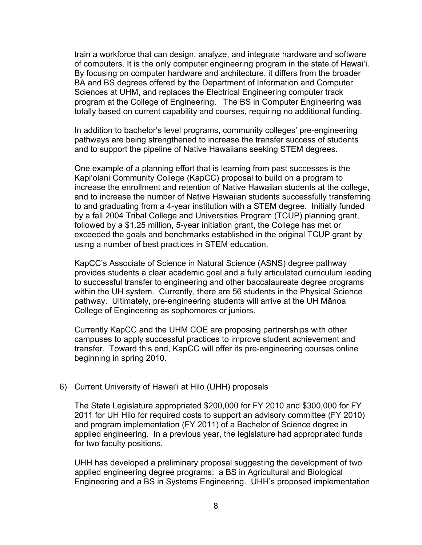train a workforce that can design, analyze, and integrate hardware and software of computers. It is the only computer engineering program in the state of Hawai'i. By focusing on computer hardware and architecture, it differs from the broader BA and BS degrees offered by the Department of Information and Computer Sciences at UHM, and replaces the Electrical Engineering computer track program at the College of Engineering. The BS in Computer Engineering was totally based on current capability and courses, requiring no additional funding.

In addition to bachelor's level programs, community colleges' pre-engineering pathways are being strengthened to increase the transfer success of students and to support the pipeline of Native Hawaiians seeking STEM degrees.

One example of a planning effort that is learning from past successes is the Kapi'olani Community College (KapCC) proposal to build on a program to increase the enrollment and retention of Native Hawaiian students at the college, and to increase the number of Native Hawaiian students successfully transferring to and graduating from a 4-year institution with a STEM degree. Initially funded by a fall 2004 Tribal College and Universities Program (TCUP) planning grant, followed by a \$1.25 million, 5-year initiation grant, the College has met or exceeded the goals and benchmarks established in the original TCUP grant by using a number of best practices in STEM education.

KapCC's Associate of Science in Natural Science (ASNS) degree pathway provides students a clear academic goal and a fully articulated curriculum leading to successful transfer to engineering and other baccalaureate degree programs within the UH system. Currently, there are 56 students in the Physical Science pathway. Ultimately, pre-engineering students will arrive at the UH Mānoa College of Engineering as sophomores or juniors.

Currently KapCC and the UHM COE are proposing partnerships with other campuses to apply successful practices to improve student achievement and transfer. Toward this end, KapCC will offer its pre-engineering courses online beginning in spring 2010.

#### 6) Current University of Hawai'i at Hilo (UHH) proposals

The State Legislature appropriated \$200,000 for FY 2010 and \$300,000 for FY 2011 for UH Hilo for required costs to support an advisory committee (FY 2010) and program implementation (FY 2011) of a Bachelor of Science degree in applied engineering. In a previous year, the legislature had appropriated funds for two faculty positions.

UHH has developed a preliminary proposal suggesting the development of two applied engineering degree programs: a BS in Agricultural and Biological Engineering and a BS in Systems Engineering. UHH's proposed implementation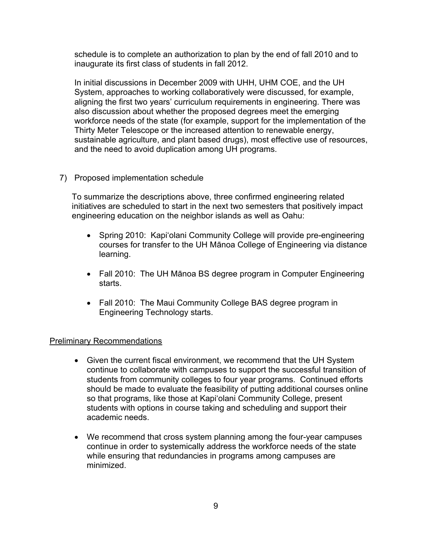schedule is to complete an authorization to plan by the end of fall 2010 and to inaugurate its first class of students in fall 2012.

In initial discussions in December 2009 with UHH, UHM COE, and the UH System, approaches to working collaboratively were discussed, for example, aligning the first two years' curriculum requirements in engineering. There was also discussion about whether the proposed degrees meet the emerging workforce needs of the state (for example, support for the implementation of the Thirty Meter Telescope or the increased attention to renewable energy, sustainable agriculture, and plant based drugs), most effective use of resources, and the need to avoid duplication among UH programs.

## 7) Proposed implementation schedule

To summarize the descriptions above, three confirmed engineering related initiatives are scheduled to start in the next two semesters that positively impact engineering education on the neighbor islands as well as Oahu:

- Spring 2010: Kapi'olani Community College will provide pre-engineering courses for transfer to the UH Mānoa College of Engineering via distance learning.
- Fall 2010: The UH Mānoa BS degree program in Computer Engineering starts.
- Fall 2010: The Maui Community College BAS degree program in Engineering Technology starts.

## Preliminary Recommendations

- Given the current fiscal environment, we recommend that the UH System continue to collaborate with campuses to support the successful transition of students from community colleges to four year programs. Continued efforts should be made to evaluate the feasibility of putting additional courses online so that programs, like those at Kapi'olani Community College, present students with options in course taking and scheduling and support their academic needs.
- We recommend that cross system planning among the four-year campuses continue in order to systemically address the workforce needs of the state while ensuring that redundancies in programs among campuses are minimized.